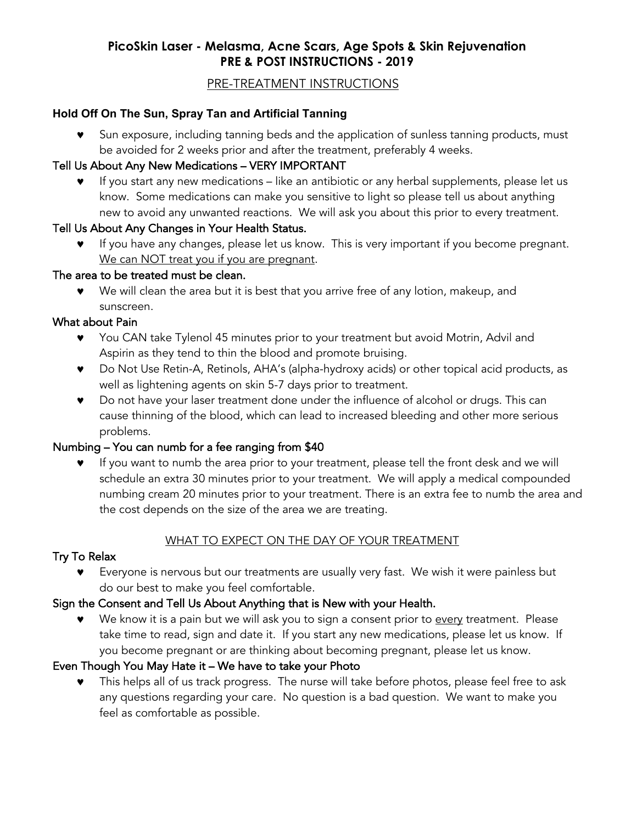# **PicoSkin Laser - Melasma, Acne Scars, Age Spots & Skin Rejuvenation PRE & POST INSTRUCTIONS - 2019**

### PRE-TREATMENT INSTRUCTIONS

### **Hold Off On The Sun, Spray Tan and Artificial Tanning**

Sun exposure, including tanning beds and the application of sunless tanning products, must be avoided for 2 weeks prior and after the treatment, preferably 4 weeks.

#### Tell Us About Any New Medications – VERY IMPORTANT

© If you start any new medications – like an antibiotic or any herbal supplements, please let us know. Some medications can make you sensitive to light so please tell us about anything new to avoid any unwanted reactions. We will ask you about this prior to every treatment.

### Tell Us About Any Changes in Your Health Status.

If you have any changes, please let us know. This is very important if you become pregnant. We can NOT treat you if you are pregnant.

### The area to be treated must be clean.

© We will clean the area but it is best that you arrive free of any lotion, makeup, and sunscreen.

### What about Pain

- ▼ You CAN take Tylenol 45 minutes prior to your treatment but avoid Motrin, Advil and Aspirin as they tend to thin the blood and promote bruising.
- © Do Not Use Retin-A, Retinols, AHA's (alpha-hydroxy acids) or other topical acid products, as well as lightening agents on skin 5-7 days prior to treatment.
- © Do not have your laser treatment done under the influence of alcohol or drugs. This can cause thinning of the blood, which can lead to increased bleeding and other more serious problems.

# Numbing – You can numb for a fee ranging from \$40

If you want to numb the area prior to your treatment, please tell the front desk and we will schedule an extra 30 minutes prior to your treatment. We will apply a medical compounded numbing cream 20 minutes prior to your treatment. There is an extra fee to numb the area and the cost depends on the size of the area we are treating.

# WHAT TO EXPECT ON THE DAY OF YOUR TREATMENT

# Try To Relax

Everyone is nervous but our treatments are usually very fast. We wish it were painless but do our best to make you feel comfortable.

# Sign the Consent and Tell Us About Anything that is New with your Health.

We know it is a pain but we will ask you to sign a consent prior to every treatment. Please take time to read, sign and date it. If you start any new medications, please let us know. If you become pregnant or are thinking about becoming pregnant, please let us know.

# Even Though You May Hate it – We have to take your Photo

© This helps all of us track progress. The nurse will take before photos, please feel free to ask any questions regarding your care. No question is a bad question. We want to make you feel as comfortable as possible.